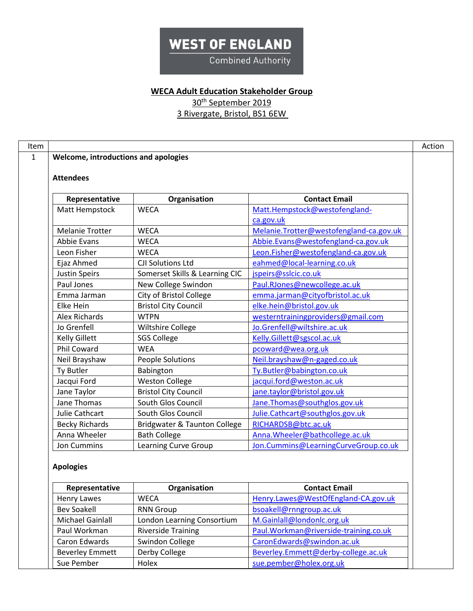**Combined Authority** 

### **WECA Adult Education Stakeholder Group**

30th September 2019

| <b>Attendees</b>       |                                |                                         |
|------------------------|--------------------------------|-----------------------------------------|
| Representative         | Organisation                   | <b>Contact Email</b>                    |
| Matt Hempstock         | <b>WECA</b>                    | Matt.Hempstock@westofengland-           |
|                        |                                | ca.gov.uk                               |
| <b>Melanie Trotter</b> | <b>WECA</b>                    | Melanie.Trotter@westofengland-ca.gov.uk |
| <b>Abbie Evans</b>     | <b>WECA</b>                    | Abbie.Evans@westofengland-ca.gov.uk     |
| Leon Fisher            | <b>WECA</b>                    | Leon.Fisher@westofengland-ca.gov.uk     |
| Ejaz Ahmed             | <b>CJI Solutions Ltd</b>       | eahmed@local-learning.co.uk             |
| <b>Justin Speirs</b>   | Somerset Skills & Learning CIC | jspeirs@sslcic.co.uk                    |
| Paul Jones             | New College Swindon            | Paul.RJones@newcollege.ac.uk            |
| Emma Jarman            | City of Bristol College        | emma.jarman@cityofbristol.ac.uk         |
| Elke Hein              | <b>Bristol City Council</b>    | elke.hein@bristol.gov.uk                |
| <b>Alex Richards</b>   | <b>WTPN</b>                    | westerntrainingproviders@gmail.com      |
| Jo Grenfell            | Wiltshire College              | Jo.Grenfell@wiltshire.ac.uk             |
| <b>Kelly Gillett</b>   | <b>SGS College</b>             | Kelly.Gillett@sgscol.ac.uk              |
| <b>Phil Coward</b>     | <b>WEA</b>                     | pcoward@wea.org.uk                      |
| Neil Brayshaw          | People Solutions               | Neil.brayshaw@n-gaged.co.uk             |
| Ty Butler              | Babington                      | Ty.Butler@babington.co.uk               |
| Jacqui Ford            | <b>Weston College</b>          | jacqui.ford@weston.ac.uk                |
| Jane Taylor            | <b>Bristol City Council</b>    | jane.taylor@bristol.gov.uk              |
| Jane Thomas            | South Glos Council             | Jane.Thomas@southglos.gov.uk            |
| Julie Cathcart         | South Glos Council             | Julie.Cathcart@southglos.gov.uk         |
| <b>Becky Richards</b>  | Bridgwater & Taunton College   | RICHARDSB@btc.ac.uk                     |
| Anna Wheeler           | <b>Bath College</b>            | Anna. Wheeler@bathcollege.ac.uk         |
| Jon Cummins            | <b>Learning Curve Group</b>    | Jon.Cummins@LearningCurveGroup.co.uk    |

| Representative          | Organisation               | <b>Contact Email</b>                  |
|-------------------------|----------------------------|---------------------------------------|
| <b>Henry Lawes</b>      | <b>WECA</b>                | Henry.Lawes@WestOfEngland-CA.gov.uk   |
| <b>Bev Soakell</b>      | <b>RNN Group</b>           | bsoakell@rnngroup.ac.uk               |
| <b>Michael Gainlall</b> | London Learning Consortium | M.Gainlall@londonlc.org.uk            |
| Paul Workman            | <b>Riverside Training</b>  | Paul.Workman@riverside-training.co.uk |
| Caron Edwards           | Swindon College            | CaronEdwards@swindon.ac.uk            |
| <b>Beverley Emmett</b>  | Derby College              | Beverley.Emmett@derby-college.ac.uk   |
| Sue Pember              | Holex                      | sue.pember@holex.org.uk               |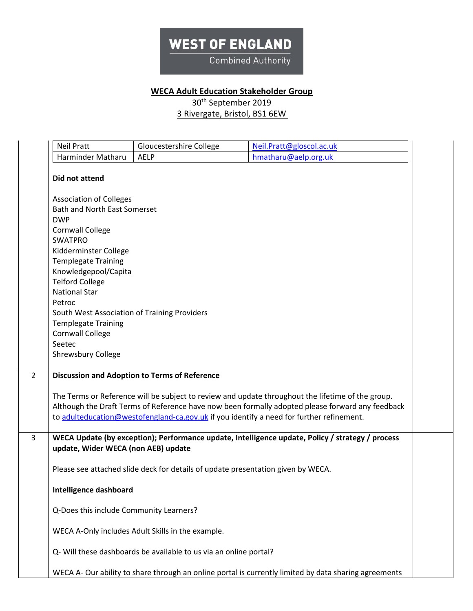**Combined Authority** 

### **WECA Adult Education Stakeholder Group**

30<sup>th</sup> September 2019

| <b>Neil Pratt</b>                            | Gloucestershire College                                                          | Neil.Pratt@gloscol.ac.uk                                                                              |
|----------------------------------------------|----------------------------------------------------------------------------------|-------------------------------------------------------------------------------------------------------|
| Harminder Matharu                            | <b>AELP</b>                                                                      | hmatharu@aelp.org.uk                                                                                  |
| Did not attend                               |                                                                                  |                                                                                                       |
| <b>Association of Colleges</b>               |                                                                                  |                                                                                                       |
| <b>Bath and North East Somerset</b>          |                                                                                  |                                                                                                       |
| <b>DWP</b>                                   |                                                                                  |                                                                                                       |
| <b>Cornwall College</b><br><b>SWATPRO</b>    |                                                                                  |                                                                                                       |
| Kidderminster College                        |                                                                                  |                                                                                                       |
| <b>Templegate Training</b>                   |                                                                                  |                                                                                                       |
| Knowledgepool/Capita                         |                                                                                  |                                                                                                       |
| <b>Telford College</b>                       |                                                                                  |                                                                                                       |
| <b>National Star</b>                         |                                                                                  |                                                                                                       |
| Petroc                                       |                                                                                  |                                                                                                       |
| South West Association of Training Providers |                                                                                  |                                                                                                       |
| <b>Templegate Training</b>                   |                                                                                  |                                                                                                       |
| <b>Cornwall College</b>                      |                                                                                  |                                                                                                       |
| Seetec                                       |                                                                                  |                                                                                                       |
| <b>Shrewsbury College</b>                    |                                                                                  |                                                                                                       |
|                                              | <b>Discussion and Adoption to Terms of Reference</b>                             |                                                                                                       |
|                                              |                                                                                  |                                                                                                       |
|                                              |                                                                                  | The Terms or Reference will be subject to review and update throughout the lifetime of the group.     |
|                                              |                                                                                  | Although the Draft Terms of Reference have now been formally adopted please forward any feedback      |
|                                              |                                                                                  | to adulteducation@westofengland-ca.gov.uk if you identify a need for further refinement.              |
|                                              |                                                                                  |                                                                                                       |
|                                              |                                                                                  | WECA Update (by exception); Performance update, Intelligence update, Policy / strategy / process      |
| update, Wider WECA (non AEB) update          |                                                                                  |                                                                                                       |
|                                              | Please see attached slide deck for details of update presentation given by WECA. |                                                                                                       |
|                                              |                                                                                  |                                                                                                       |
| <b>Intelligence dashboard</b>                |                                                                                  |                                                                                                       |
|                                              |                                                                                  |                                                                                                       |
| Q-Does this include Community Learners?      |                                                                                  |                                                                                                       |
|                                              |                                                                                  |                                                                                                       |
|                                              | WECA A-Only includes Adult Skills in the example.                                |                                                                                                       |
|                                              | Q- Will these dashboards be available to us via an online portal?                |                                                                                                       |
|                                              |                                                                                  |                                                                                                       |
|                                              |                                                                                  |                                                                                                       |
|                                              |                                                                                  | WECA A- Our ability to share through an online portal is currently limited by data sharing agreements |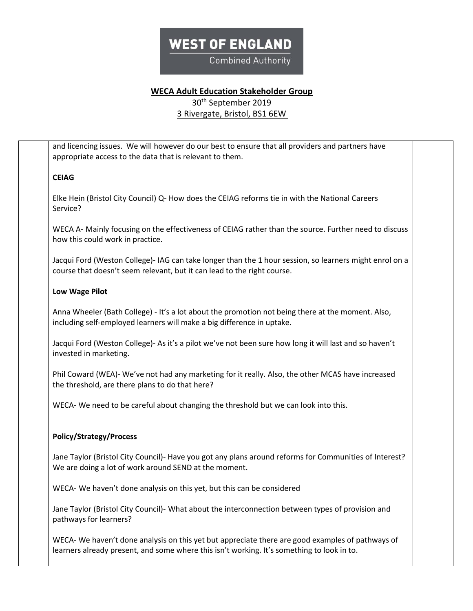**Combined Authority** 

### **WECA Adult Education Stakeholder Group**

30<sup>th</sup> September 2019

3 Rivergate, Bristol, BS1 6EW

and licencing issues. We will however do our best to ensure that all providers and partners have appropriate access to the data that is relevant to them. **CEIAG** Elke Hein (Bristol City Council) Q- How does the CEIAG reforms tie in with the National Careers Service? WECA A- Mainly focusing on the effectiveness of CEIAG rather than the source. Further need to discuss how this could work in practice. Jacqui Ford (Weston College)- IAG can take longer than the 1 hour session, so learners might enrol on a course that doesn't seem relevant, but it can lead to the right course. **Low Wage Pilot** Anna Wheeler (Bath College) - It's a lot about the promotion not being there at the moment. Also, including self-employed learners will make a big difference in uptake. Jacqui Ford (Weston College)- As it's a pilot we've not been sure how long it will last and so haven't invested in marketing. Phil Coward (WEA)- We've not had any marketing for it really. Also, the other MCAS have increased the threshold, are there plans to do that here? WECA- We need to be careful about changing the threshold but we can look into this. **Policy/Strategy/Process** Jane Taylor (Bristol City Council)- Have you got any plans around reforms for Communities of Interest? We are doing a lot of work around SEND at the moment. WECA- We haven't done analysis on this yet, but this can be considered Jane Taylor (Bristol City Council)- What about the interconnection between types of provision and pathways for learners? WECA- We haven't done analysis on this yet but appreciate there are good examples of pathways of learners already present, and some where this isn't working. It's something to look in to.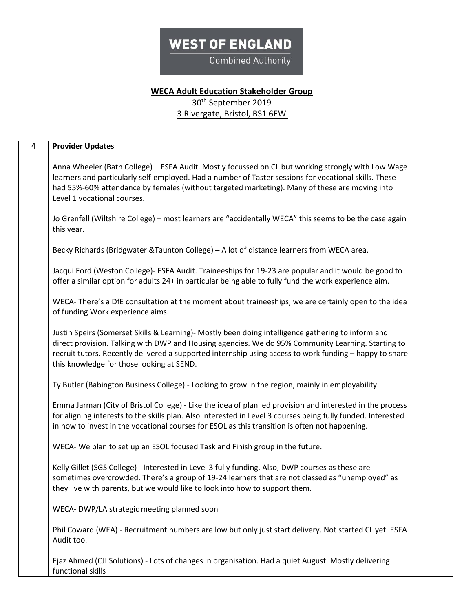**Combined Authority** 

#### **WECA Adult Education Stakeholder Group** 30<sup>th</sup> September 2019

| $\overline{4}$ | <b>Provider Updates</b>                                                                                                                                                                                                                                                                                                                                          |  |
|----------------|------------------------------------------------------------------------------------------------------------------------------------------------------------------------------------------------------------------------------------------------------------------------------------------------------------------------------------------------------------------|--|
|                | Anna Wheeler (Bath College) - ESFA Audit. Mostly focussed on CL but working strongly with Low Wage<br>learners and particularly self-employed. Had a number of Taster sessions for vocational skills. These<br>had 55%-60% attendance by females (without targeted marketing). Many of these are moving into<br>Level 1 vocational courses.                      |  |
|                | Jo Grenfell (Wiltshire College) - most learners are "accidentally WECA" this seems to be the case again<br>this year.                                                                                                                                                                                                                                            |  |
|                | Becky Richards (Bridgwater & Taunton College) - A lot of distance learners from WECA area.                                                                                                                                                                                                                                                                       |  |
|                | Jacqui Ford (Weston College)- ESFA Audit. Traineeships for 19-23 are popular and it would be good to<br>offer a similar option for adults 24+ in particular being able to fully fund the work experience aim.                                                                                                                                                    |  |
|                | WECA-There's a DfE consultation at the moment about traineeships, we are certainly open to the idea<br>of funding Work experience aims.                                                                                                                                                                                                                          |  |
|                | Justin Speirs (Somerset Skills & Learning)- Mostly been doing intelligence gathering to inform and<br>direct provision. Talking with DWP and Housing agencies. We do 95% Community Learning. Starting to<br>recruit tutors. Recently delivered a supported internship using access to work funding - happy to share<br>this knowledge for those looking at SEND. |  |
|                | Ty Butler (Babington Business College) - Looking to grow in the region, mainly in employability.                                                                                                                                                                                                                                                                 |  |
|                | Emma Jarman (City of Bristol College) - Like the idea of plan led provision and interested in the process<br>for aligning interests to the skills plan. Also interested in Level 3 courses being fully funded. Interested<br>in how to invest in the vocational courses for ESOL as this transition is often not happening.                                      |  |
|                | WECA- We plan to set up an ESOL focused Task and Finish group in the future.                                                                                                                                                                                                                                                                                     |  |
|                | Kelly Gillet (SGS College) - Interested in Level 3 fully funding. Also, DWP courses as these are<br>sometimes overcrowded. There's a group of 19-24 learners that are not classed as "unemployed" as<br>they live with parents, but we would like to look into how to support them.                                                                              |  |
|                | WECA- DWP/LA strategic meeting planned soon                                                                                                                                                                                                                                                                                                                      |  |
|                | Phil Coward (WEA) - Recruitment numbers are low but only just start delivery. Not started CL yet. ESFA<br>Audit too.                                                                                                                                                                                                                                             |  |
|                | Ejaz Ahmed (CJI Solutions) - Lots of changes in organisation. Had a quiet August. Mostly delivering<br>functional skills                                                                                                                                                                                                                                         |  |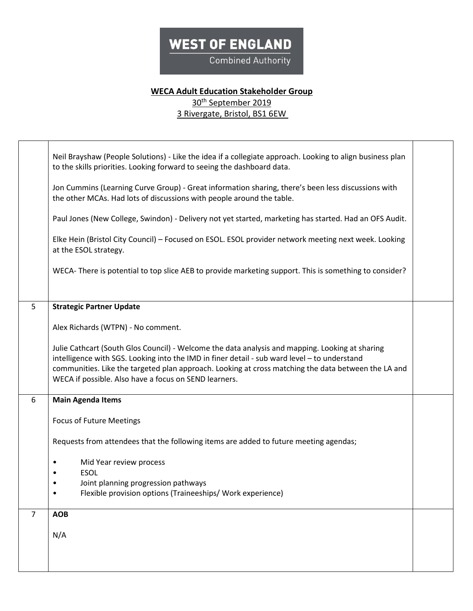**Combined Authority** 

### **WECA Adult Education Stakeholder Group** 30th September 2019

|                | Neil Brayshaw (People Solutions) - Like the idea if a collegiate approach. Looking to align business plan<br>to the skills priorities. Looking forward to seeing the dashboard data.                                                                                                                                                                            |  |
|----------------|-----------------------------------------------------------------------------------------------------------------------------------------------------------------------------------------------------------------------------------------------------------------------------------------------------------------------------------------------------------------|--|
|                | Jon Cummins (Learning Curve Group) - Great information sharing, there's been less discussions with<br>the other MCAs. Had lots of discussions with people around the table.                                                                                                                                                                                     |  |
|                | Paul Jones (New College, Swindon) - Delivery not yet started, marketing has started. Had an OFS Audit.                                                                                                                                                                                                                                                          |  |
|                | Elke Hein (Bristol City Council) - Focused on ESOL. ESOL provider network meeting next week. Looking<br>at the ESOL strategy.                                                                                                                                                                                                                                   |  |
|                | WECA- There is potential to top slice AEB to provide marketing support. This is something to consider?                                                                                                                                                                                                                                                          |  |
| 5 <sup>5</sup> | <b>Strategic Partner Update</b>                                                                                                                                                                                                                                                                                                                                 |  |
|                | Alex Richards (WTPN) - No comment.                                                                                                                                                                                                                                                                                                                              |  |
|                | Julie Cathcart (South Glos Council) - Welcome the data analysis and mapping. Looking at sharing<br>intelligence with SGS. Looking into the IMD in finer detail - sub ward level - to understand<br>communities. Like the targeted plan approach. Looking at cross matching the data between the LA and<br>WECA if possible. Also have a focus on SEND learners. |  |
| 6              | <b>Main Agenda Items</b>                                                                                                                                                                                                                                                                                                                                        |  |
|                | <b>Focus of Future Meetings</b>                                                                                                                                                                                                                                                                                                                                 |  |
|                | Requests from attendees that the following items are added to future meeting agendas;                                                                                                                                                                                                                                                                           |  |
|                | Mid Year review process                                                                                                                                                                                                                                                                                                                                         |  |
|                | <b>ESOL</b><br>Joint planning progression pathways                                                                                                                                                                                                                                                                                                              |  |
|                | Flexible provision options (Traineeships/ Work experience)<br>٠                                                                                                                                                                                                                                                                                                 |  |
| $\overline{7}$ | <b>AOB</b>                                                                                                                                                                                                                                                                                                                                                      |  |
|                | N/A                                                                                                                                                                                                                                                                                                                                                             |  |
|                |                                                                                                                                                                                                                                                                                                                                                                 |  |
|                |                                                                                                                                                                                                                                                                                                                                                                 |  |